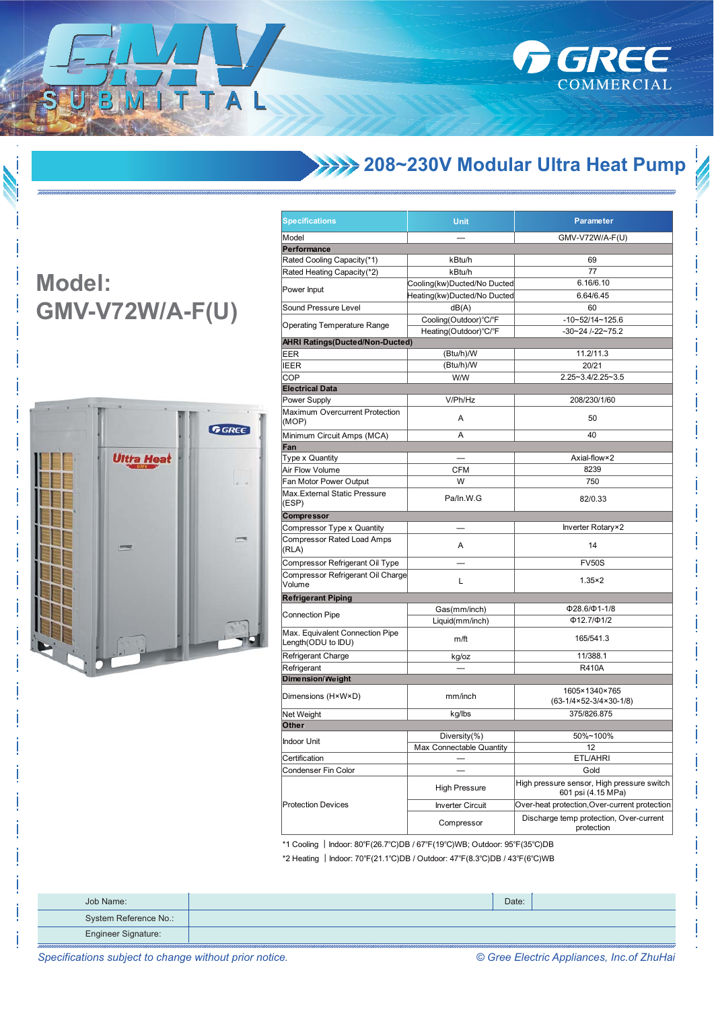

## **XXXX 208~230V Modular Ultra Heat Pump**

## **Model: GMV-V72W/A-F(U)**

ITTAL



| <b>Specifications</b>                                                     | <b>Unit</b>                 | Parameter                                                           |  |
|---------------------------------------------------------------------------|-----------------------------|---------------------------------------------------------------------|--|
| Model                                                                     |                             | GMV-V72W/A-F(U)                                                     |  |
| Performance                                                               |                             |                                                                     |  |
| Rated Cooling Capacity(*1)                                                | kBtu/h                      | 69                                                                  |  |
| Rated Heating Capacity(*2)                                                | kBtu/h                      | 77                                                                  |  |
|                                                                           | Cooling(kw)Ducted/No Ducted | 6.16/6.10                                                           |  |
| Power Input                                                               | Heating(kw)Ducted/No Ducted | 6.64/6.45                                                           |  |
| Sound Pressure Level                                                      | dB(A)                       | 60                                                                  |  |
|                                                                           | Cooling(Outdoor)°C/°F       | $-10-52/14-125.6$                                                   |  |
| <b>Operating Temperature Range</b>                                        | Heating(Outdoor)°C/°F       | $-30 - 24$ /-22~75.2                                                |  |
| <b>AHRI Ratings(Ducted/Non-Ducted)</b>                                    |                             |                                                                     |  |
| EER                                                                       | (Btu/h)/W                   | 11.2/11.3                                                           |  |
| IEER                                                                      | (Btu/h)/W                   | 20/21                                                               |  |
| COP                                                                       | <b>W/W</b>                  | 2.25~3.4/2.25~3.5                                                   |  |
| <b>Electrical Data</b>                                                    |                             |                                                                     |  |
| Power Supply                                                              | V/Ph/Hz                     | 208/230/1/60                                                        |  |
|                                                                           |                             |                                                                     |  |
| <b>Maximum Overcurrent Protection</b><br>(MOP)                            | Α                           | 50                                                                  |  |
| Minimum Circuit Amps (MCA)                                                | A                           | 40                                                                  |  |
| Fan                                                                       |                             |                                                                     |  |
| Type x Quantity                                                           |                             | Axial-flow×2                                                        |  |
| Air Flow Volume                                                           | CFM                         | 8239                                                                |  |
| Fan Motor Power Output                                                    | W                           | 750                                                                 |  |
| Max.External Static Pressure<br>(ESP)                                     | Pa/In.W.G                   | 82/0.33                                                             |  |
| Compressor                                                                |                             |                                                                     |  |
| Compressor Type x Quantity                                                |                             | Inverter Rotary×2                                                   |  |
| Compressor Rated Load Amps                                                | A                           | 14                                                                  |  |
| (RLA)                                                                     |                             |                                                                     |  |
| Compressor Refrigerant Oil Type                                           |                             | <b>FV50S</b>                                                        |  |
| Compressor Refrigerant Oil Charge<br>Volume                               | Г                           | $1.35 \times 2$                                                     |  |
| <b>Refrigerant Piping</b>                                                 |                             |                                                                     |  |
|                                                                           | Gas(mm/inch)                | $\Phi$ 28.6/ $\Phi$ 1-1/8                                           |  |
| Connection Pipe                                                           | Liquid(mm/inch)             | $\Phi$ 12.7/ $\Phi$ 1/2                                             |  |
| Max. Equivalent Connection Pipe<br>Length(ODU to IDU)                     | m/ft                        | 165/541.3                                                           |  |
| Refrigerant Charge                                                        | kg/oz                       | 11/388.1                                                            |  |
| Refrigerant                                                               |                             | R410A                                                               |  |
| <b>Dimension/Weight</b>                                                   |                             |                                                                     |  |
| Dimensions (H×W×D)                                                        | mm/inch                     | 1605×1340×765<br>$(63-1/4\times52-3/4\times30-1/8)$                 |  |
| Net Weight                                                                | kg/lbs                      | 375/826.875                                                         |  |
| Other                                                                     |                             |                                                                     |  |
|                                                                           | Diversity $(\%)$            | 50%~100%                                                            |  |
| Indoor Unit                                                               | Max Connectable Quantity    | 12                                                                  |  |
| Certification                                                             |                             | ETL/AHRI                                                            |  |
| Condenser Fin Color                                                       |                             | Gold                                                                |  |
|                                                                           | High Pressure               | High pressure sensor, High pressure switch                          |  |
| <b>Protection Devices</b>                                                 | <b>Inverter Circuit</b>     | 601 psi (4.15 MPa)<br>Over-heat protection, Over-current protection |  |
|                                                                           | Compressor                  | Discharge temp protection, Over-current<br>protection               |  |
| *1 Cooling   Indoor: 80°F(26.7°C)DB / 67°F(19°C)WB; Outdoor: 95°F(35°C)DB |                             |                                                                     |  |

\*2 Heating | Indoor: 70°F(21.1°C)DB / Outdoor: 47°F(8.3°C)DB / 43°F(6°C)WB

| Job Name:                  | Date: |  |
|----------------------------|-------|--|
| System Reference No.:      |       |  |
| <b>Engineer Signature:</b> |       |  |

Specifications subject to change without prior notice.

© Gree Electric Appliances, Inc.of ZhuHai